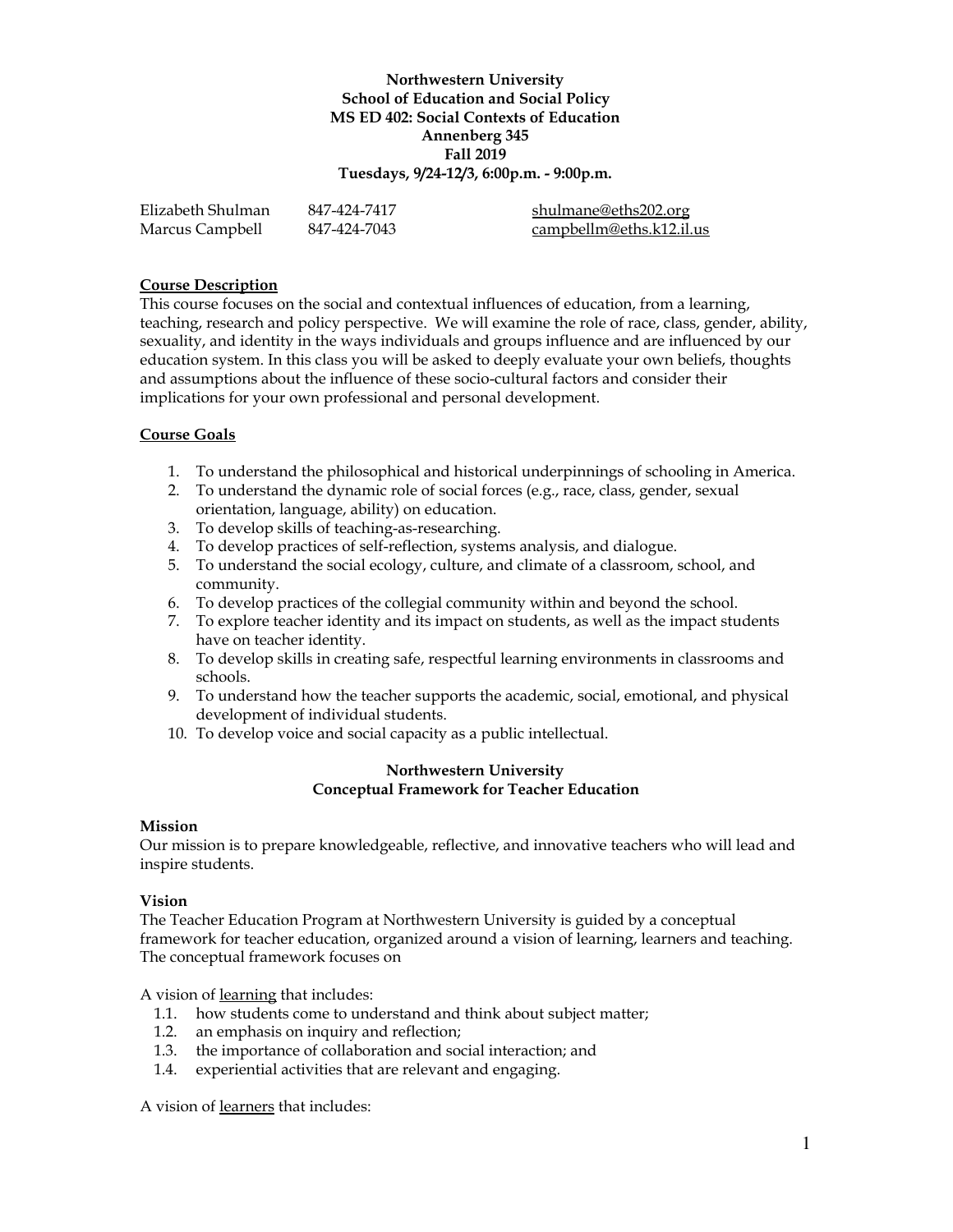# **Northwestern University School of Education and Social Policy MS ED 402: Social Contexts of Education Annenberg 345 Fall 2019 Tuesdays, 9/24-12/3, 6:00p.m. - 9:00p.m.**

| Elizabeth Shulman | 847-424-7417 | shulmane@eths202.org     |
|-------------------|--------------|--------------------------|
| Marcus Campbell   | 847-424-7043 | campbellm@eths.k12.il.us |

# **Course Description**

This course focuses on the social and contextual influences of education, from a learning, teaching, research and policy perspective. We will examine the role of race, class, gender, ability, sexuality, and identity in the ways individuals and groups influence and are influenced by our education system. In this class you will be asked to deeply evaluate your own beliefs, thoughts and assumptions about the influence of these socio-cultural factors and consider their implications for your own professional and personal development.

#### **Course Goals**

- 1. To understand the philosophical and historical underpinnings of schooling in America.
- 2. To understand the dynamic role of social forces (e.g., race, class, gender, sexual orientation, language, ability) on education.
- 3. To develop skills of teaching-as-researching.
- 4. To develop practices of self-reflection, systems analysis, and dialogue.
- 5. To understand the social ecology, culture, and climate of a classroom, school, and community.
- 6. To develop practices of the collegial community within and beyond the school.
- 7. To explore teacher identity and its impact on students, as well as the impact students have on teacher identity.
- 8. To develop skills in creating safe, respectful learning environments in classrooms and schools.
- 9. To understand how the teacher supports the academic, social, emotional, and physical development of individual students.
- 10. To develop voice and social capacity as a public intellectual.

#### **Northwestern University Conceptual Framework for Teacher Education**

#### **Mission**

Our mission is to prepare knowledgeable, reflective, and innovative teachers who will lead and inspire students.

#### **Vision**

The Teacher Education Program at Northwestern University is guided by a conceptual framework for teacher education, organized around a vision of learning, learners and teaching. The conceptual framework focuses on

A vision of learning that includes:

- 1.1. how students come to understand and think about subject matter;
- 1.2. an emphasis on inquiry and reflection;
- 1.3. the importance of collaboration and social interaction; and
- 1.4. experiential activities that are relevant and engaging.

A vision of learners that includes: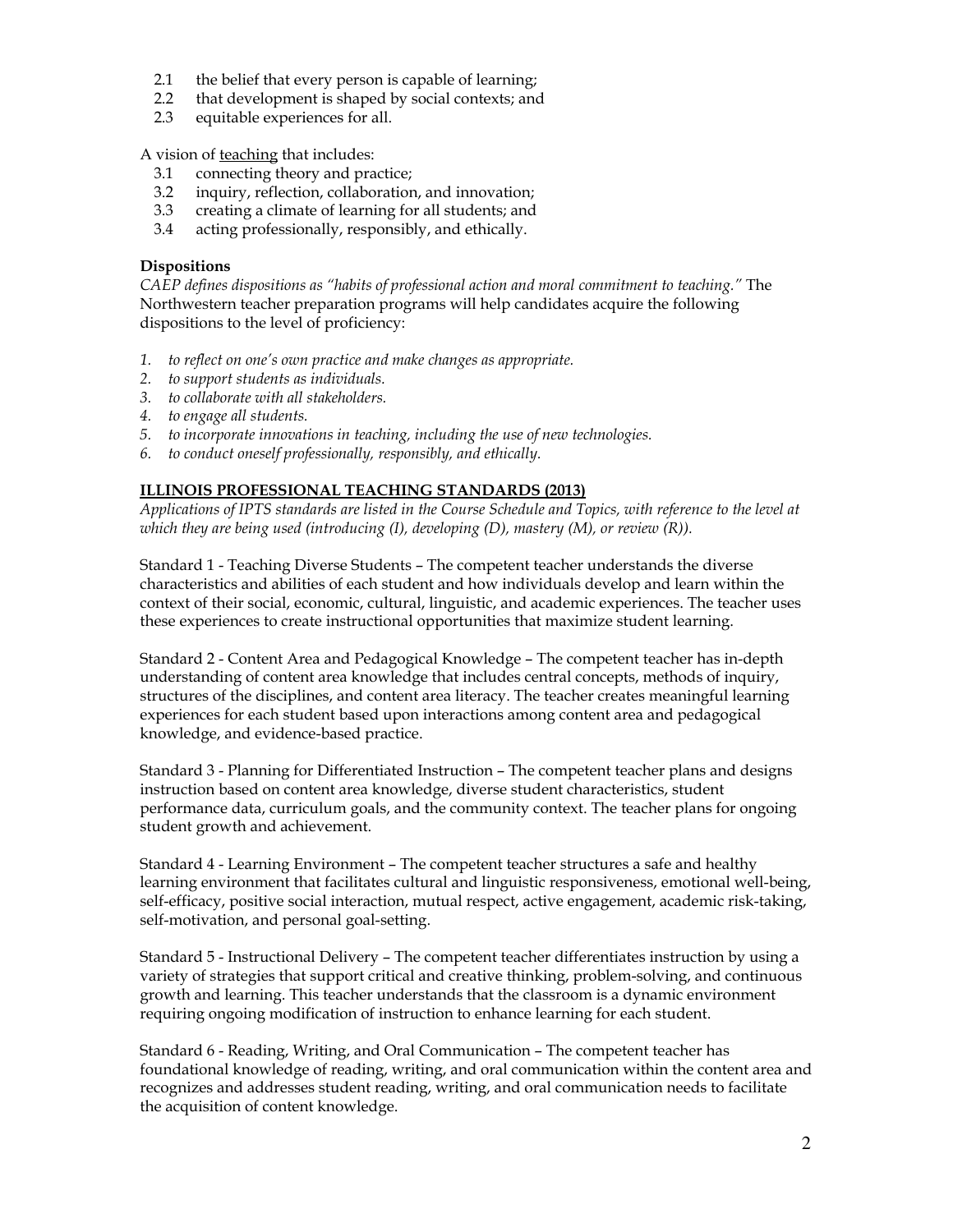- 2.1 the belief that every person is capable of learning;
- 2.2 that development is shaped by social contexts; and
- 2.3 equitable experiences for all.

A vision of teaching that includes:

- 3.1 connecting theory and practice;
- 3.2 inquiry, reflection, collaboration, and innovation;
- 3.3 creating a climate of learning for all students; and
- 3.4 acting professionally, responsibly, and ethically.

### **Dispositions**

*CAEP defines dispositions as "habits of professional action and moral commitment to teaching."* The Northwestern teacher preparation programs will help candidates acquire the following dispositions to the level of proficiency:

- *1. to reflect on one's own practice and make changes as appropriate.*
- *2. to support students as individuals.*
- *3. to collaborate with all stakeholders.*
- *4. to engage all students.*
- *5. to incorporate innovations in teaching, including the use of new technologies.*
- *6. to conduct oneself professionally, responsibly, and ethically.*

# **ILLINOIS PROFESSIONAL TEACHING STANDARDS (2013)**

Applications of IPTS standards are listed in the Course Schedule and Topics, with reference to the level at *which they are being used (introducing (I), developing (D), mastery (M), or review (R)).*

Standard 1 - Teaching Diverse Students – The competent teacher understands the diverse characteristics and abilities of each student and how individuals develop and learn within the context of their social, economic, cultural, linguistic, and academic experiences. The teacher uses these experiences to create instructional opportunities that maximize student learning.

Standard 2 - Content Area and Pedagogical Knowledge – The competent teacher has in-depth understanding of content area knowledge that includes central concepts, methods of inquiry, structures of the disciplines, and content area literacy. The teacher creates meaningful learning experiences for each student based upon interactions among content area and pedagogical knowledge, and evidence-based practice.

Standard 3 - Planning for Differentiated Instruction – The competent teacher plans and designs instruction based on content area knowledge, diverse student characteristics, student performance data, curriculum goals, and the community context. The teacher plans for ongoing student growth and achievement.

Standard 4 - Learning Environment – The competent teacher structures a safe and healthy learning environment that facilitates cultural and linguistic responsiveness, emotional well-being, self-efficacy, positive social interaction, mutual respect, active engagement, academic risk-taking, self-motivation, and personal goal-setting.

Standard 5 - Instructional Delivery – The competent teacher differentiates instruction by using a variety of strategies that support critical and creative thinking, problem-solving, and continuous growth and learning. This teacher understands that the classroom is a dynamic environment requiring ongoing modification of instruction to enhance learning for each student.

Standard 6 - Reading, Writing, and Oral Communication – The competent teacher has foundational knowledge of reading, writing, and oral communication within the content area and recognizes and addresses student reading, writing, and oral communication needs to facilitate the acquisition of content knowledge.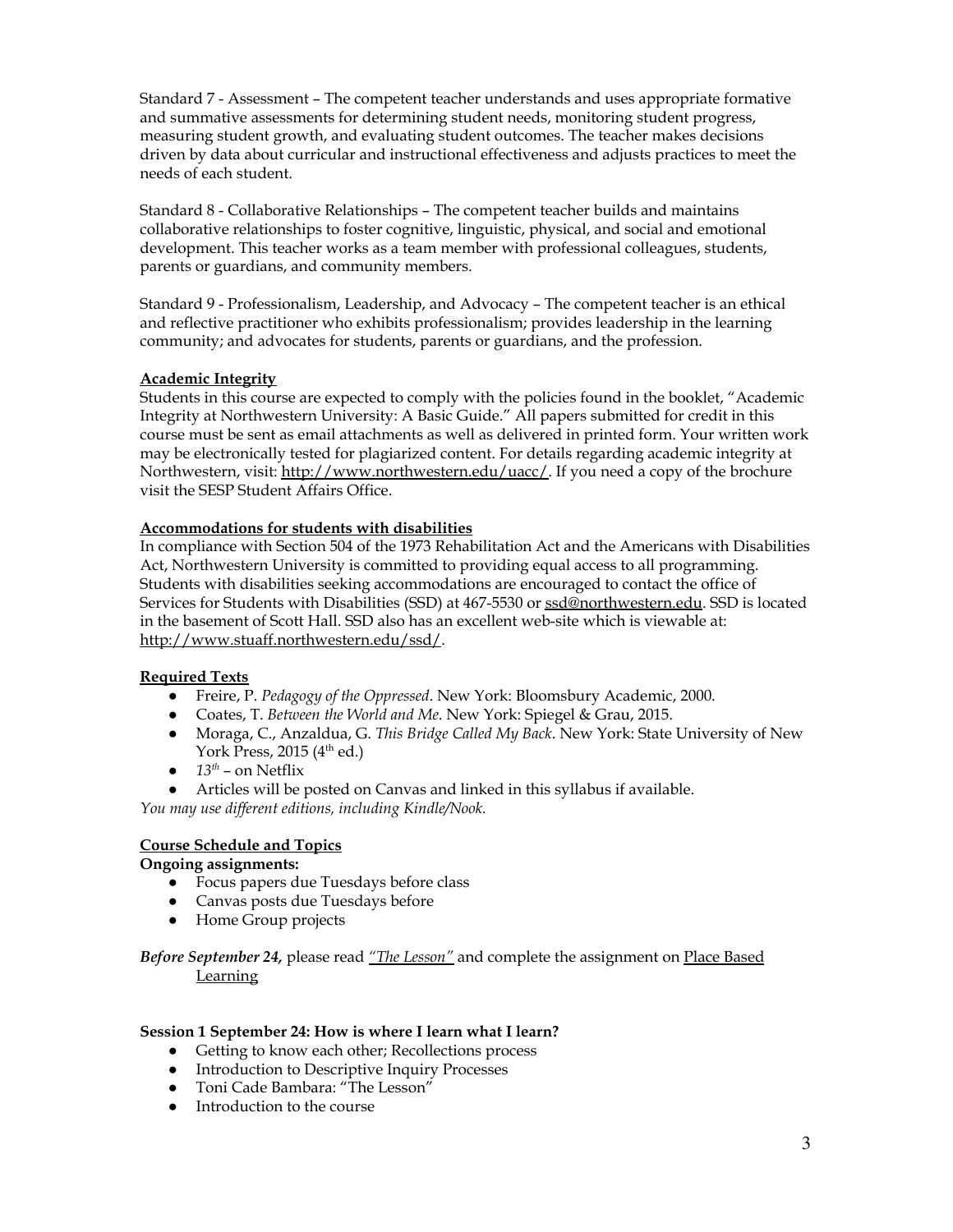Standard 7 - Assessment – The competent teacher understands and uses appropriate formative and summative assessments for determining student needs, monitoring student progress, measuring student growth, and evaluating student outcomes. The teacher makes decisions driven by data about curricular and instructional effectiveness and adjusts practices to meet the needs of each student.

Standard 8 - Collaborative Relationships – The competent teacher builds and maintains collaborative relationships to foster cognitive, linguistic, physical, and social and emotional development. This teacher works as a team member with professional colleagues, students, parents or guardians, and community members.

Standard 9 - Professionalism, Leadership, and Advocacy – The competent teacher is an ethical and reflective practitioner who exhibits professionalism; provides leadership in the learning community; and advocates for students, parents or guardians, and the profession.

# **Academic Integrity**

Students in this course are expected to comply with the policies found in the booklet, "Academic Integrity at Northwestern University: A Basic Guide." All papers submitted for credit in this course must be sent as email attachments as well as delivered in printed form. Your written work may be electronically tested for plagiarized content. For details regarding academic integrity at Northwestern, visit: <http://www.northwestern.edu/uacc/>. If you need a copy of the brochure visit the SESP Student Affairs Office.

### **Accommodations for students with disabilities**

In compliance with Section 504 of the 1973 Rehabilitation Act and the Americans with Disabilities Act, Northwestern University is committed to providing equal access to all programming. Students with disabilities seeking accommodations are encouraged to contact the office of Services for Students with Disabilities (SSD) at 467-5530 or [ssd@northwestern.edu.](mailto:ssd@northwestern.edu) SSD is located in the basement of Scott Hall. SSD also has an excellent web-site which is viewable at: [http://www.stuaff.northwestern.edu/ssd/.](http://www.stuaff.northwestern.edu/ssd/)

#### **Required Texts**

- Freire, P. *Pedagogy of the Oppressed*. New York: Bloomsbury Academic, 2000.
- Coates, T. *Between the World and Me*. New York: Spiegel & Grau, 2015.
- Moraga, C., Anzaldua, G. *This Bridge Called My Back*. New York: State University of New York Press, 2015 (4<sup>th</sup> ed.)
- $\bullet$  *13<sup>th</sup>* on Netflix
- Articles will be posted on Canvas and linked in this syllabus if available.

*You may use dif erent editions, including Kindle/Nook.*

# **Course Schedule and Topics**

**Ongoing assignments:**

- Focus papers due Tuesdays before class
- Canvas posts due Tuesdays before
- Home Group projects

*Before September 24,* please read *"The [Lesson"](https://docs.google.com/document/d/1RsWjQ1Jh-pNIN8x2TaSFzwHuURHimVi9IVDQA-Z-h2g/edit?usp=sharing)* and complete the assignment on Place [Based](https://docs.google.com/document/d/1m_WlR0poCNV61FPCOP_X1gbCZ6Zg5ltxjztrTtqLVT0/edit?usp=sharing) **[Learning](https://docs.google.com/document/d/1m_WlR0poCNV61FPCOP_X1gbCZ6Zg5ltxjztrTtqLVT0/edit?usp=sharing)** 

#### **Session 1 September 24: How is where I learn what I learn?**

- Getting to know each other; Recollections process
- Introduction to Descriptive Inquiry Processes
- Toni Cade Bambara: "The Lesson"
- Introduction to the course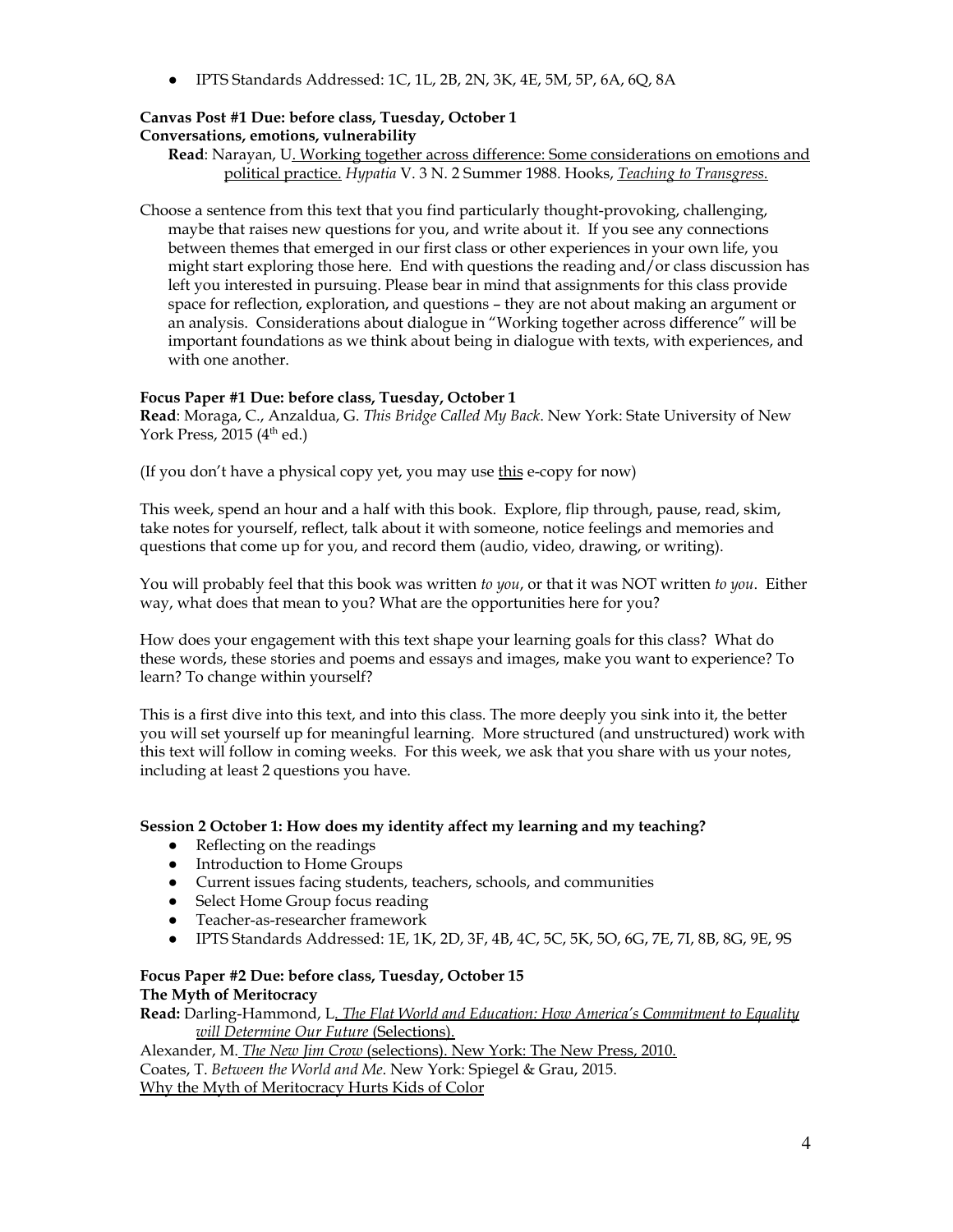● IPTS Standards Addressed: 1C, 1L, 2B, 2N, 3K, 4E, 5M, 5P, 6A, 6Q, 8A

# **Canvas Post #1 Due: before class, Tuesday, October 1 Conversations, emotions, vulnerability**

**Read**: Narayan, U. Working together across difference: Some [considerations](https://docs.google.com/document/d/1CSB9xlsO3M3a7X_SbbU2_T-4cspJFverVQ0MMPHu5qI/edit?usp=sharing) on emotions and political [practice.](https://docs.google.com/document/d/1CSB9xlsO3M3a7X_SbbU2_T-4cspJFverVQ0MMPHu5qI/edit?usp=sharing) *Hypatia* V. 3 N. 2 Summer 1988. Hooks, *Teaching to [Transgress](https://www.luminpdf.com/viewer/5d6ad5bde43e620019d034b6).*

Choose a sentence from this text that you find particularly thought-provoking, challenging, maybe that raises new questions for you, and write about it. If you see any connections between themes that emerged in our first class or other experiences in your own life, you might start exploring those here. End with questions the reading and/or class discussion has left you interested in pursuing. Please bear in mind that assignments for this class provide space for reflection, exploration, and questions – they are not about making an argument or an analysis. Considerations about dialogue in "Working together across difference" will be important foundations as we think about being in dialogue with texts, with experiences, and with one another.

# **Focus Paper #1 Due: before class, Tuesday, October 1**

**Read**: Moraga, C., Anzaldua, G. *This Bridge Called My Back*. New York: State University of New York Press, 2015 (4<sup>th</sup> ed.)

(If you don't have a physical copy yet, you may use [this](https://monoskop.org/images/e/e2/Moraga_Cherrie_Anzaldual_Gloria_eds_This_Bridge_Called_My_Back_Writings_by_Radical_Women_of_Color-Kitchen_Table_Women_of_Color_Press.pdf) e-copy for now)

This week, spend an hour and a half with this book. Explore, flip through, pause, read, skim, take notes for yourself, reflect, talk about it with someone, notice feelings and memories and questions that come up for you, and record them (audio, video, drawing, or writing).

You will probably feel that this book was written *to you*, or that it was NOT written *to you*. Either way, what does that mean to you? What are the opportunities here for you?

How does your engagement with this text shape your learning goals for this class? What do these words, these stories and poems and essays and images, make you want to experience? To learn? To change within yourself?

This is a first dive into this text, and into this class. The more deeply you sink into it, the better you will set yourself up for meaningful learning. More structured (and unstructured) work with this text will follow in coming weeks. For this week, we ask that you share with us your notes, including at least 2 questions you have.

# **Session 2 October 1: How does my identity affect my learning and my teaching?**

- Reflecting on the readings
- Introduction to Home Groups
- Current issues facing students, teachers, schools, and communities
- Select Home Group focus reading
- Teacher-as-researcher framework
- IPTS Standards Addressed: 1E, 1K, 2D, 3F, 4B, 4C, 5C, 5K, 5O, 6G, 7E, 7I, 8B, 8G, 9E, 9S

#### **Focus Paper #2 Due: before class, Tuesday, October 15 The Myth of Meritocracy**

**Read:** Darling-Hammond, L[.](https://www.luminpdf.com/viewer/5d6ad7d8e43e620019d03517) *The Flat World and Education: How America's [Commitment](https://www.luminpdf.com/viewer/5d6ad7d8e43e620019d03517) to Equality will [Determine](https://www.luminpdf.com/viewer/5d6ad7d8e43e620019d03517) Our Future* [\(Selections\).](https://www.luminpdf.com/viewer/5d6ad7d8e43e620019d03517)

[Alexander,](https://www.luminpdf.com/viewer/5d6ad736e43e620019d034f1) M. *[T](https://www.luminpdf.com/viewer/5d6ad736e43e620019d034f1)he New Jim [Crow](https://www.luminpdf.com/viewer/5d6ad736e43e620019d034f1)* [\(selections\).](https://www.luminpdf.com/viewer/5d6ad736e43e620019d034f1) New York: The New Press, 2010. Coates, T. *Between the World and Me*. New York: Spiegel & Grau, 2015. Why the Myth of [Meritocracy](https://www.theatlantic.com/education/archive/2017/07/internalizing-the-myth-of-meritocracy/535035/?utm_source=atlfb) Hurts Kids of Color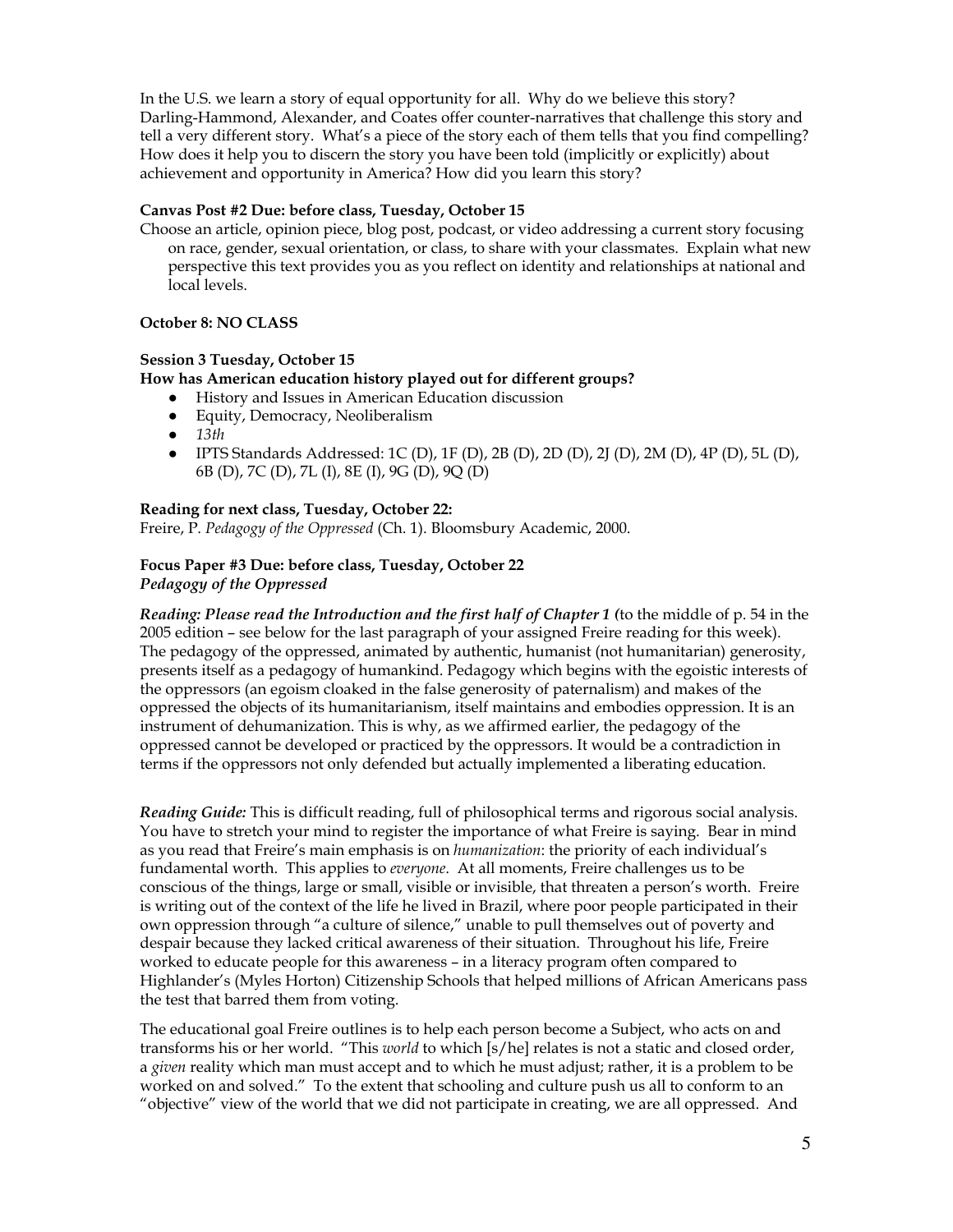In the U.S. we learn a story of equal opportunity for all. Why do we believe this story? Darling-Hammond, Alexander, and Coates offer counter-narratives that challenge this story and tell a very different story. What's a piece of the story each of them tells that you find compelling? How does it help you to discern the story you have been told (implicitly or explicitly) about achievement and opportunity in America? How did you learn this story?

#### **Canvas Post #2 Due: before class, Tuesday, October 15**

Choose an article, opinion piece, blog post, podcast, or video addressing a current story focusing on race, gender, sexual orientation, or class, to share with your classmates. Explain what new perspective this text provides you as you reflect on identity and relationships at national and local levels.

### **October 8: NO CLASS**

#### **Session 3 Tuesday, October 15**

## **How has American education history played out for different groups?**

- History and Issues in American Education discussion
- Equity, Democracy, Neoliberalism
- *● 13th*
- IPTS Standards Addressed: 1C (D), 1F (D), 2B (D), 2D (D), 2J (D), 2M (D), 4P (D), 5L (D), 6B (D), 7C (D), 7L (I), 8E (I), 9G (D), 9Q (D)

#### **Reading for next class, Tuesday, October 22:**

Freire, P. *Pedagogy of the Oppressed* (Ch. 1). Bloomsbury Academic, 2000.

### **Focus Paper #3 Due: before class, Tuesday, October 22** *Pedagogy of the Oppressed*

*Reading: Please read the Introduction and the first half of Chapter 1 (*to the middle of p. 54 in the 2005 edition – see below for the last paragraph of your assigned Freire reading for this week). The pedagogy of the oppressed, animated by authentic, humanist (not humanitarian) generosity, presents itself as a pedagogy of humankind. Pedagogy which begins with the egoistic interests of the oppressors (an egoism cloaked in the false generosity of paternalism) and makes of the oppressed the objects of its humanitarianism, itself maintains and embodies oppression. It is an instrument of dehumanization. This is why, as we affirmed earlier, the pedagogy of the oppressed cannot be developed or practiced by the oppressors. It would be a contradiction in terms if the oppressors not only defended but actually implemented a liberating education.

*Reading Guide:* This is difficult reading, full of philosophical terms and rigorous social analysis. You have to stretch your mind to register the importance of what Freire is saying. Bear in mind as you read that Freire's main emphasis is on *humanization*: the priority of each individual's fundamental worth. This applies to *everyone*. At all moments, Freire challenges us to be conscious of the things, large or small, visible or invisible, that threaten a person's worth. Freire is writing out of the context of the life he lived in Brazil, where poor people participated in their own oppression through "a culture of silence," unable to pull themselves out of poverty and despair because they lacked critical awareness of their situation. Throughout his life, Freire worked to educate people for this awareness – in a literacy program often compared to Highlander's (Myles Horton) Citizenship Schools that helped millions of African Americans pass the test that barred them from voting.

The educational goal Freire outlines is to help each person become a Subject, who acts on and transforms his or her world. "This *world* to which [s/he] relates is not a static and closed order, a *given* reality which man must accept and to which he must adjust; rather, it is a problem to be worked on and solved." To the extent that schooling and culture push us all to conform to an "objective" view of the world that we did not participate in creating, we are all oppressed. And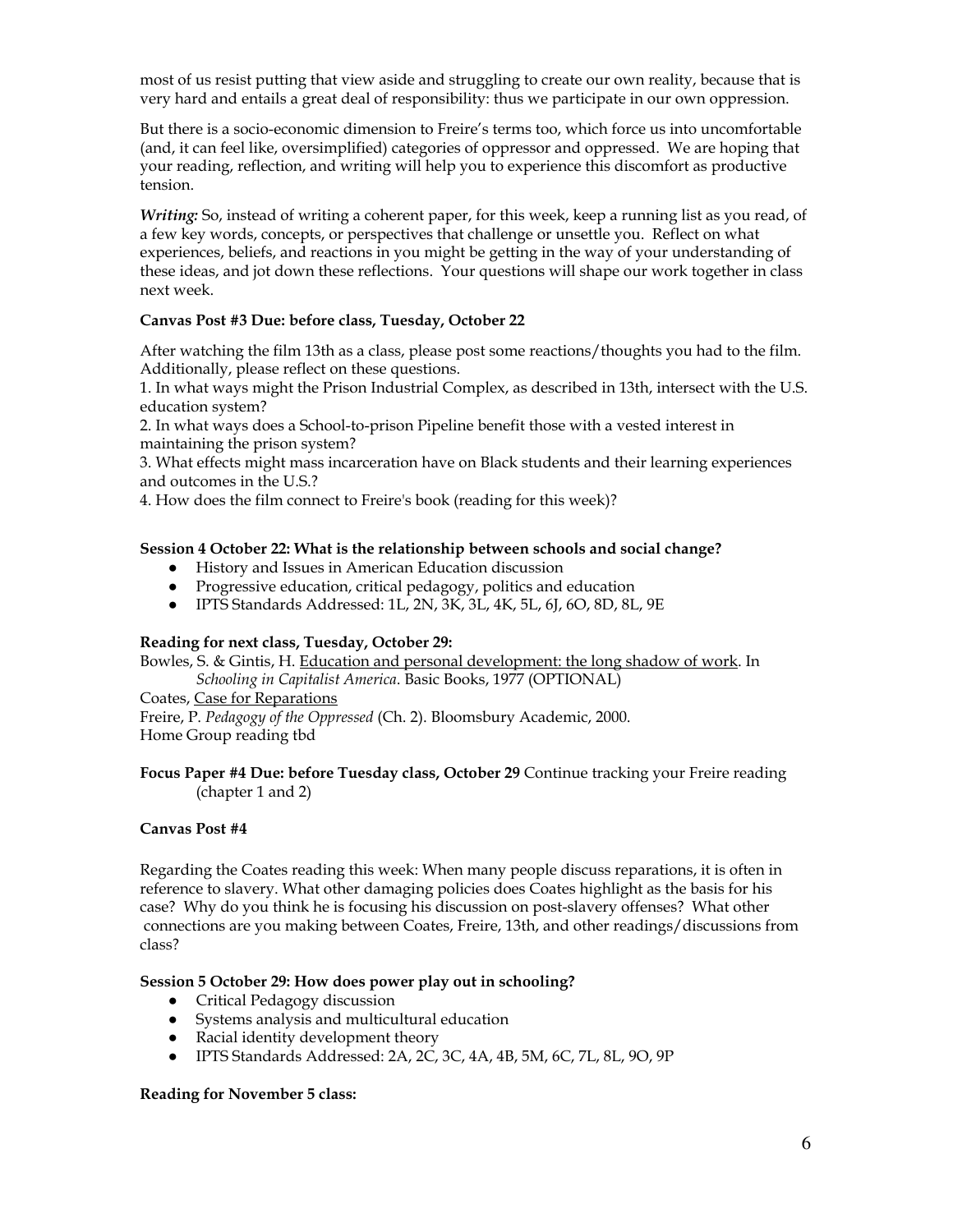most of us resist putting that view aside and struggling to create our own reality, because that is very hard and entails a great deal of responsibility: thus we participate in our own oppression.

But there is a socio-economic dimension to Freire's terms too, which force us into uncomfortable (and, it can feel like, oversimplified) categories of oppressor and oppressed. We are hoping that your reading, reflection, and writing will help you to experience this discomfort as productive tension.

*Writing:* So, instead of writing a coherent paper, for this week, keep a running list as you read, of a few key words, concepts, or perspectives that challenge or unsettle you. Reflect on what experiences, beliefs, and reactions in you might be getting in the way of your understanding of these ideas, and jot down these reflections. Your questions will shape our work together in class next week.

### **Canvas Post #3 Due: before class, Tuesday, October 22**

After watching the film 13th as a class, please post some reactions/thoughts you had to the film. Additionally, please reflect on these questions.

1. In what ways might the Prison Industrial Complex, as described in 13th, intersect with the U.S. education system?

2. In what ways does a School-to-prison Pipeline benefit those with a vested interest in maintaining the prison system?

3. What effects might mass incarceration have on Black students and their learning experiences and outcomes in the U.S.?

4. How does the film connect to Freire's book (reading for this week)?

### **Session 4 October 22: What is the relationship between schools and social change?**

- History and Issues in American Education discussion
- Progressive education, critical pedagogy, politics and education
- IPTS Standards Addressed: 1L, 2N, 3K, 3L, 4K, 5L, 6J, 6O, 8D, 8L, 9E

#### **Reading for next class, Tuesday, October 29:**

Bowles, S. & Gintis, H. Education and personal [development:](https://www.luminpdf.com/viewer/5d7fc0ab3b586200135f9f7e) the long shadow of work. In

*Schooling in Capitalist America*. Basic Books, 1977 (OPTIONAL)

Coates, Case for [Reparations](https://www.theatlantic.com/magazine/archive/2014/06/the-case-for-reparations/361631/) Freire, P. *Pedagogy of the Oppressed* (Ch. 2). Bloomsbury Academic, 2000. Home Group reading tbd

### **Focus Paper #4 Due: before Tuesday class, October 29** Continue tracking your Freire reading (chapter 1 and 2)

#### **Canvas Post #4**

Regarding the Coates reading this week: When many people discuss reparations, it is often in reference to slavery. What other damaging policies does Coates highlight as the basis for his case? Why do you think he is focusing his discussion on post-slavery offenses? What other connections are you making between Coates, Freire, 13th, and other readings/discussions from class?

#### **Session 5 October 29: How does power play out in schooling?**

- Critical Pedagogy discussion
- Systems analysis and multicultural education
- Racial identity development theory
- IPTS Standards Addressed: 2A, 2C, 3C, 4A, 4B, 5M, 6C, 7L, 8L, 9O, 9P

#### **Reading for November 5 class:**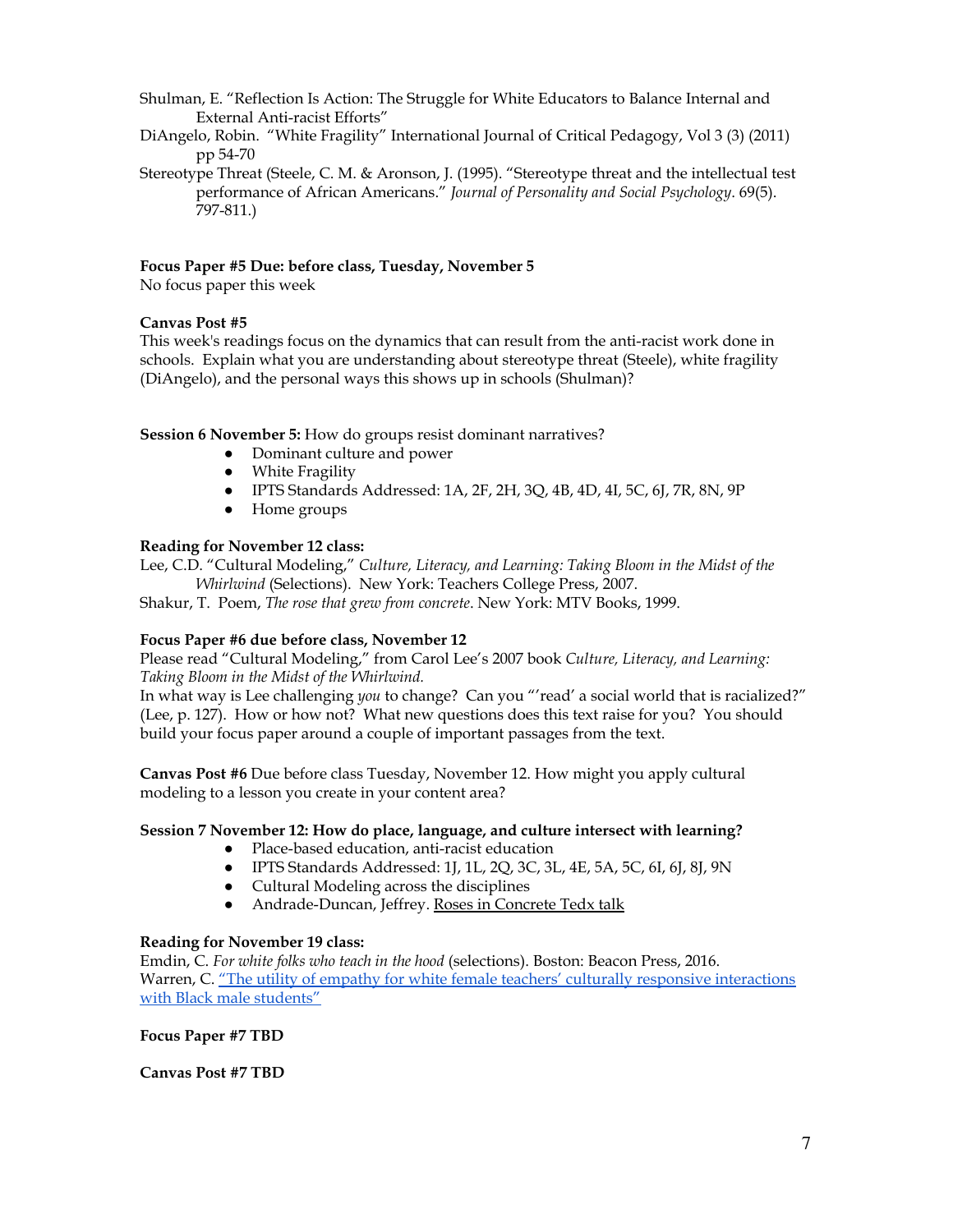- Shulman, E. "Reflection Is Action: The Struggle for White Educators to Balance Internal and External Anti-racist Efforts"
- DiAngelo, Robin. "White Fragility" International Journal of Critical Pedagogy, Vol 3 (3) (2011) pp 54-70
- Stereotype Threat (Steele, C. M. & Aronson, J. (1995). "Stereotype threat and the intellectual test performance of African Americans." *Journal of Personality and Social Psychology*. 69(5). 797-811.)

### **Focus Paper #5 Due: before class, Tuesday, November 5**

No focus paper this week

### **Canvas Post #5**

This week's readings focus on the dynamics that can result from the anti-racist work done in schools. Explain what you are understanding about stereotype threat (Steele), white fragility (DiAngelo), and the personal ways this shows up in schools (Shulman)?

### **Session 6 November 5:** How do groups resist dominant narratives?

- Dominant culture and power
- White Fragility
- IPTS Standards Addressed: 1A, 2F, 2H, 3Q, 4B, 4D, 4I, 5C, 6J, 7R, 8N, 9P
- Home groups

### **Reading for November 12 class:**

Lee, C.D. "Cultural Modeling," *Culture, Literacy, and Learning: Taking Bloom in the Midst of the Whirlwind* (Selections). New York: Teachers College Press, 2007.

Shakur, T. Poem, *The rose that grew from concrete*. New York: MTV Books, 1999.

#### **Focus Paper #6 due before class, November 12**

Please read "Cultural Modeling," from Carol Lee's 2007 book *Culture, Literacy, and Learning: Taking Bloom in the Midst of the Whirlwind.*

In what way is Lee challenging *you* to change? Can you "'read' a social world that is racialized?" (Lee, p. 127). How or how not? What new questions does this text raise for you? You should build your focus paper around a couple of important passages from the text.

**Canvas Post #6** Due before class Tuesday, November 12. How might you apply cultural modeling to a lesson you create in your content area?

#### **Session 7 November 12: How do place, language, and culture intersect with learning?**

- Place-based education, anti-racist education
- **●** IPTS Standards Addressed: 1J, 1L, 2Q, 3C, 3L, 4E, 5A, 5C, 6I, 6J, 8J, 9N
- Cultural Modeling across the disciplines
- Andrade-Duncan, Jeffrey. Roses in [Concrete](https://www.youtube.com/watch?v=2CwS60ykM8s) Tedx talk

#### **Reading for November 19 class:**

Emdin, C. *For white folks who teach in the hood* (selections). Boston: Beacon Press, 2016. Warren, C. "The utility of empathy for white female teachers' culturally responsive [interactions](https://files.eric.ed.gov/fulltext/EJ1063074.pdf) with Black male [students"](https://files.eric.ed.gov/fulltext/EJ1063074.pdf)

**Focus Paper #7 TBD**

**Canvas Post #7 TBD**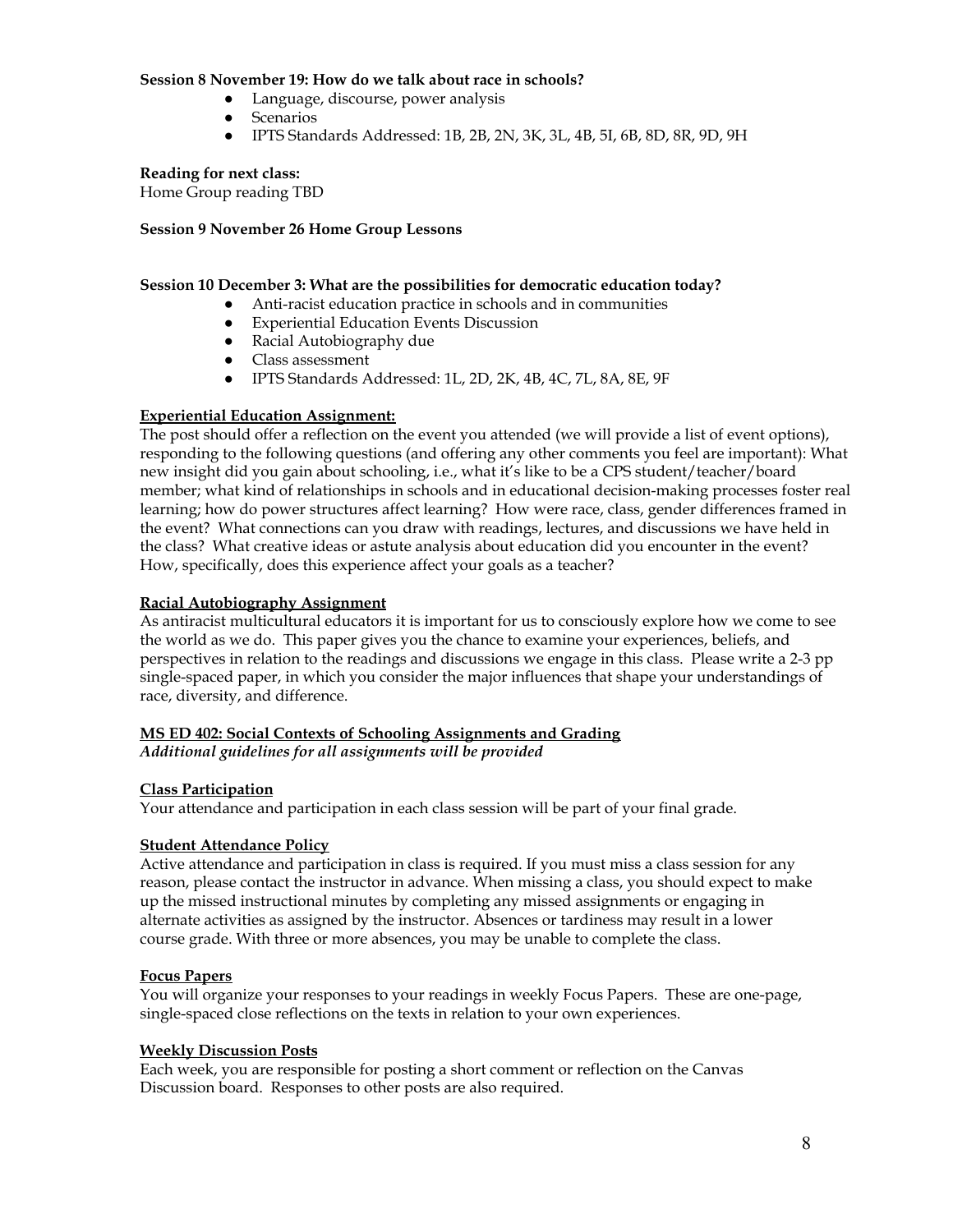#### **Session 8 November 19: How do we talk about race in schools?**

- Language, discourse, power analysis
- Scenarios
- IPTS Standards Addressed: 1B, 2B, 2N, 3K, 3L, 4B, 5I, 6B, 8D, 8R, 9D, 9H

#### **Reading for next class:**

Home Group reading TBD

### **Session 9 November 26 Home Group Lessons**

### **Session 10 December 3: What are the possibilities for democratic education today?**

- Anti-racist education practice in schools and in communities
- Experiential Education Events Discussion
- Racial Autobiography due
- Class assessment
- IPTS Standards Addressed: 1L, 2D, 2K, 4B, 4C, 7L, 8A, 8E, 9F

### **Experiential Education Assignment:**

The post should offer a reflection on the event you attended (we will provide a list of event options), responding to the following questions (and offering any other comments you feel are important): What new insight did you gain about schooling, i.e., what it's like to be a CPS student/teacher/board member; what kind of relationships in schools and in educational decision-making processes foster real learning; how do power structures affect learning? How were race, class, gender differences framed in the event? What connections can you draw with readings, lectures, and discussions we have held in the class? What creative ideas or astute analysis about education did you encounter in the event? How, specifically, does this experience affect your goals as a teacher?

### **Racial Autobiography Assignment**

As antiracist multicultural educators it is important for us to consciously explore how we come to see the world as we do. This paper gives you the chance to examine your experiences, beliefs, and perspectives in relation to the readings and discussions we engage in this class. Please write a 2-3 pp single-spaced paper, in which you consider the major influences that shape your understandings of race, diversity, and difference.

# **MS ED 402: Social Contexts of Schooling Assignments and Grading** *Additional guidelines for all assignments will be provided*

# **Class Participation**

Your attendance and participation in each class session will be part of your final grade.

#### **Student Attendance Policy**

Active attendance and participation in class is required. If you must miss a class session for any reason, please contact the instructor in advance. When missing a class, you should expect to make up the missed instructional minutes by completing any missed assignments or engaging in alternate activities as assigned by the instructor. Absences or tardiness may result in a lower course grade. With three or more absences, you may be unable to complete the class.

# **Focus Papers**

You will organize your responses to your readings in weekly Focus Papers. These are one-page, single-spaced close reflections on the texts in relation to your own experiences.

#### **Weekly Discussion Posts**

Each week, you are responsible for posting a short comment or reflection on the Canvas Discussion board. Responses to other posts are also required.